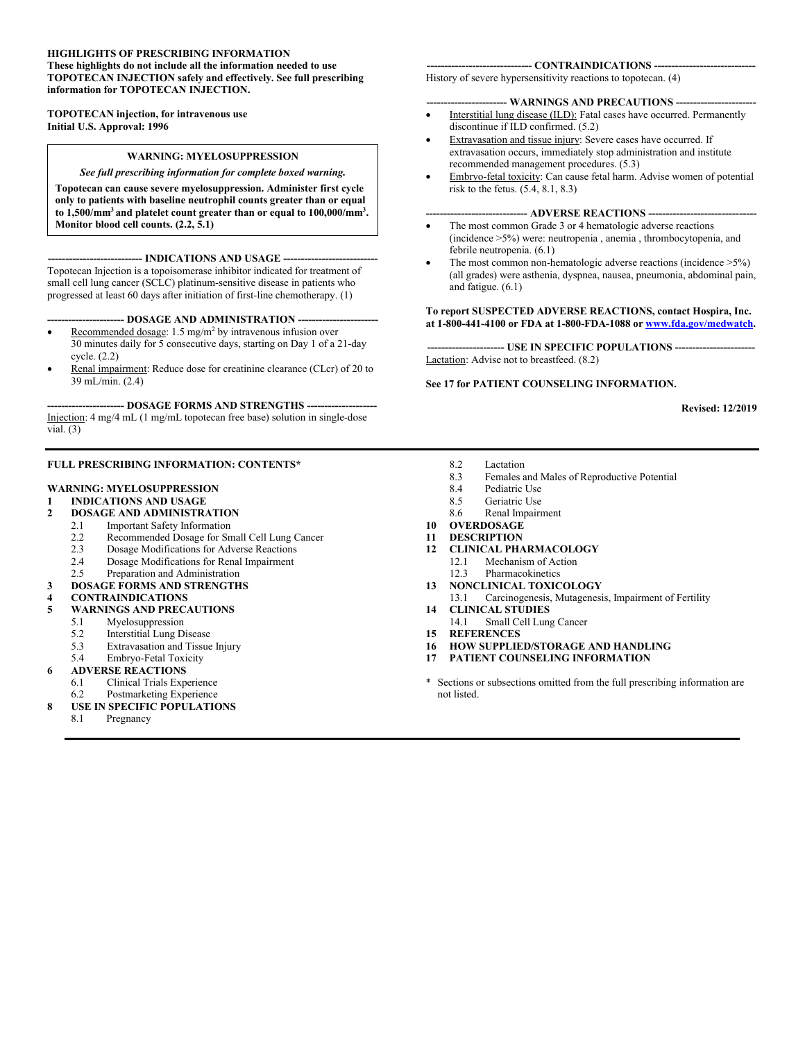#### **HIGHLIGHTS OF PRESCRIBING INFORMATION These highlights do not include all the information needed to use TOPOTECAN INJECTION safely and effectively. See full prescribing information for TOPOTECAN INJECTION.**

**TOPOTECAN injection, for intravenous use Initial U.S. Approval: 1996**

#### **WARNING: MYELOSUPPRESSION**

#### *See full prescribing information for complete boxed warning.*

**Topotecan can cause severe myelosuppression. Administer first cycle only to patients with baseline neutrophil counts greater than or equal to 1,500/mm<sup>3</sup> and platelet count greater than or equal to 100,000/mm<sup>3</sup> . Monitor blood cell counts. (2.2, 5.1)**

**--------------------------- INDICATIONS AND USAGE ---------------------------** Topotecan Injection is a topoisomerase inhibitor indicated for treatment of small cell lung cancer (SCLC) platinum-sensitive disease in patients who progressed at least 60 days after initiation of first-line chemotherapy. (1)

**---------------------- DOSAGE AND ADMINISTRATION -----------------------**

- Recommended dosage: 1.5 mg/m<sup>2</sup> by intravenous infusion over 30 minutes daily for 5 consecutive days, starting on Day 1 of a 21-day cycle. (2.2)
- Renal impairment: Reduce dose for creatinine clearance (CLcr) of 20 to 39 mL/min. (2.4)

**---------------------- DOSAGE FORMS AND STRENGTHS --------------------** Injection: 4 mg/4 mL (1 mg/mL topotecan free base) solution in single-dose vial.  $(3)$ 

#### **FULL PRESCRIBING INFORMATION: CONTENTS\***

#### **WARNING: MYELOSUPPRESSION**

**1 INDICATIONS AND USAGE**

#### **2 DOSAGE AND ADMINISTRATION**

- 2.1 Important Safety Information
- 
- 2.2 Recommended Dosage for Small Cell Lung Cancer<br>2.3 Dosage Modifications for Adverse Reactions 2.3 Dosage Modifications for Adverse Reactions<br>2.4 Dosage Modifications for Renal Innairment
- 2.4 Dosage Modifications for Renal Impairment<br>2.5 Prenaration and Administration
- Preparation and Administration
- **3 DOSAGE FORMS AND STRENGTHS**
- **4 CONTRAINDICATIONS**
- **5 WARNINGS AND PRECAUTIONS**
	- 5.1 Myelosuppression
	- 5.2 Interstitial Lung Disease
	- 5.3 Extravasation and Tissue Injury
	- 5.4 Embryo-Fetal Toxicity
- **6 ADVERSE REACTIONS**
- 6.1 Clinical Trials Experience
- 6.2 Postmarketing Experience
- **8 USE IN SPECIFIC POPULATIONS**
	- 8.1 Pregnancy

#### **------------------------------ CONTRAINDICATIONS -----------------------------**

History of severe hypersensitivity reactions to topotecan. (4)

#### **----------------------- WARNINGS AND PRECAUTIONS -----------------------**

- Interstitial lung disease (ILD): Fatal cases have occurred. Permanently discontinue if ILD confirmed. (5.2)
- Extravasation and tissue injury: Severe cases have occurred. If extravasation occurs, immediately stop administration and institute recommended management procedures. (5.3)
- Embryo-fetal toxicity: Can cause fetal harm. Advise women of potential risk to the fetus. (5.4, 8.1, 8.3)

#### **----------------------------- ADVERSE REACTIONS -------------------------------**

- The most common Grade 3 or 4 hematologic adverse reactions (incidence >5%) were: neutropenia , anemia , thrombocytopenia, and febrile neutropenia. (6.1)
- The most common non-hematologic adverse reactions (incidence >5%) (all grades) were asthenia, dyspnea, nausea, pneumonia, abdominal pain, and fatigue. (6.1)

#### **To report SUSPECTED ADVERSE REACTIONS, contact Hospira, Inc. at 1-800-441-4100 or FDA at 1-800-FDA-1088 or [www.fda.gov/medwatch](http://www.fda.gov/medwatch).**

**-- USE IN SPECIFIC POPULATIONS ---**Lactation: Advise not to breastfeed. (8.2)

**See 17 for PATIENT COUNSELING INFORMATION.**

**Revised: 12/2019**

- 8.2 Lactation<br>8.3 Females a
- Females and Males of Reproductive Potential
- 8.4 Pediatric Use
- 8.5 Geriatric Use
- 8.6 Renal Impairment
- **10 OVERDOSAGE**
- **11 DESCRIPTION**
- **12 CLINICAL PHARMACOLOGY**
	- 12.1 Mechanism of Action<br>12.3 Pharmacokinetics
	- Pharmacokinetics
- **13 NONCLINICAL TOXICOLOGY**
- 13.1 Carcinogenesis, Mutagenesis, Impairment of Fertility **14 CLINICAL STUDIES**
	- 14.1 Small Cell Lung Cancer
- **15 REFERENCES**
- **16 HOW SUPPLIED/STORAGE AND HANDLING**
- **17 PATIENT COUNSELING INFORMATION**
- \* Sections or subsections omitted from the full prescribing information are not listed.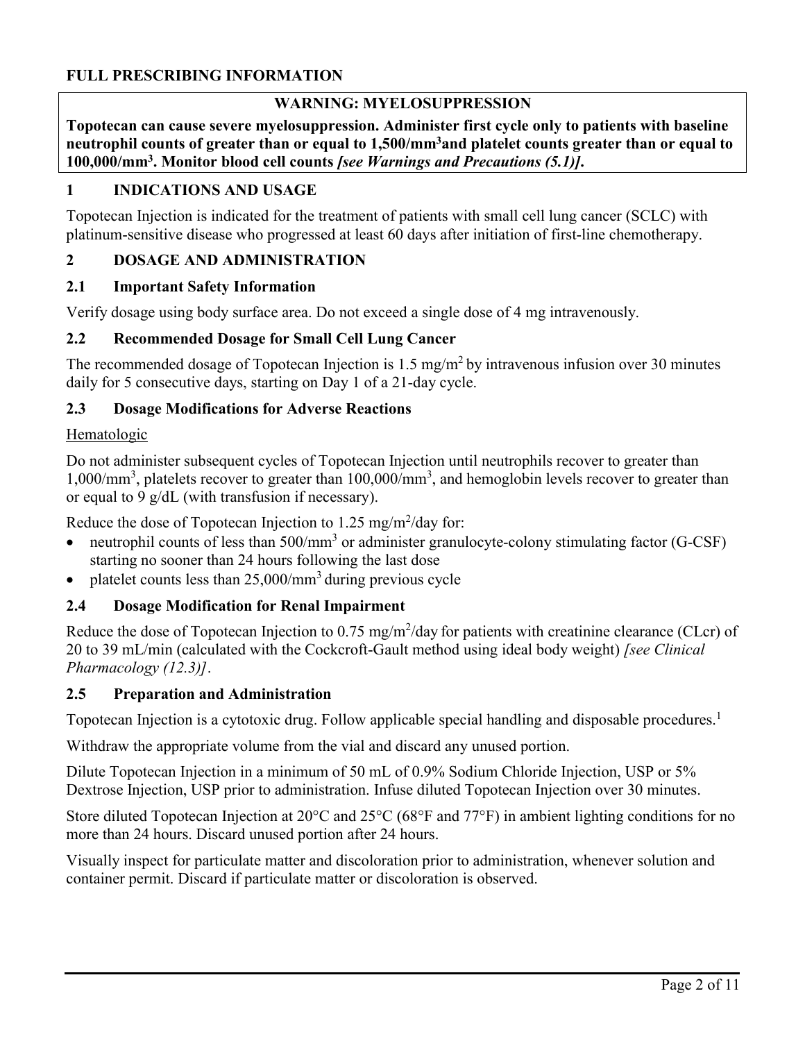# **FULL PRESCRIBING INFORMATION**

## **WARNING: MYELOSUPPRESSION**

**Topotecan can cause severe myelosuppression. Administer first cycle only to patients with baseline neutrophil counts of greater than or equal to 1,500/mm<sup>3</sup>and platelet counts greater than or equal to 100,000/mm<sup>3</sup> . Monitor blood cell counts** *[see Warnings and Precautions (5.1)]***.**

# **1 INDICATIONS AND USAGE**

Topotecan Injection is indicated for the treatment of patients with small cell lung cancer (SCLC) with platinum-sensitive disease who progressed at least 60 days after initiation of first-line chemotherapy.

## **2 DOSAGE AND ADMINISTRATION**

### **2.1 Important Safety Information**

Verify dosage using body surface area. Do not exceed a single dose of 4 mg intravenously.

### **2.2 Recommended Dosage for Small Cell Lung Cancer**

The recommended dosage of Topotecan Injection is  $1.5 \text{ mg/m}^2$  by intravenous infusion over 30 minutes daily for 5 consecutive days, starting on Day 1 of a 21-day cycle.

### **2.3 Dosage Modifications for Adverse Reactions**

#### Hematologic

Do not administer subsequent cycles of Topotecan Injection until neutrophils recover to greater than 1,000/mm<sup>3</sup>, platelets recover to greater than 100,000/mm<sup>3</sup>, and hemoglobin levels recover to greater than or equal to 9 g/dL (with transfusion if necessary).

Reduce the dose of Topotecan Injection to  $1.25 \text{ mg/m}^2/\text{day}$  for:

- neutrophil counts of less than  $500/\text{mm}^3$  or administer granulocyte-colony stimulating factor (G-CSF) starting no sooner than 24 hours following the last dose
- platelet counts less than  $25,000/\text{mm}^3$  during previous cycle

### **2.4 Dosage Modification for Renal Impairment**

Reduce the dose of Topotecan Injection to  $0.75 \text{ mg/m}^2$ /day for patients with creatinine clearance (CLcr) of 20 to 39 mL/min (calculated with the Cockcroft-Gault method using ideal body weight) *[see Clinical Pharmacology (12.3)]*.

### **2.5 Preparation and Administration**

Topotecan Injection is a cytotoxic drug. Follow applicable special handling and disposable procedures.<sup>1</sup>

Withdraw the appropriate volume from the vial and discard any unused portion.

Dilute Topotecan Injection in a minimum of 50 mL of 0.9% Sodium Chloride Injection, USP or 5% Dextrose Injection, USP prior to administration. Infuse diluted Topotecan Injection over 30 minutes.

Store diluted Topotecan Injection at 20°C and 25°C (68°F and 77°F) in ambient lighting conditions for no more than 24 hours. Discard unused portion after 24 hours.

Visually inspect for particulate matter and discoloration prior to administration, whenever solution and container permit. Discard if particulate matter or discoloration is observed.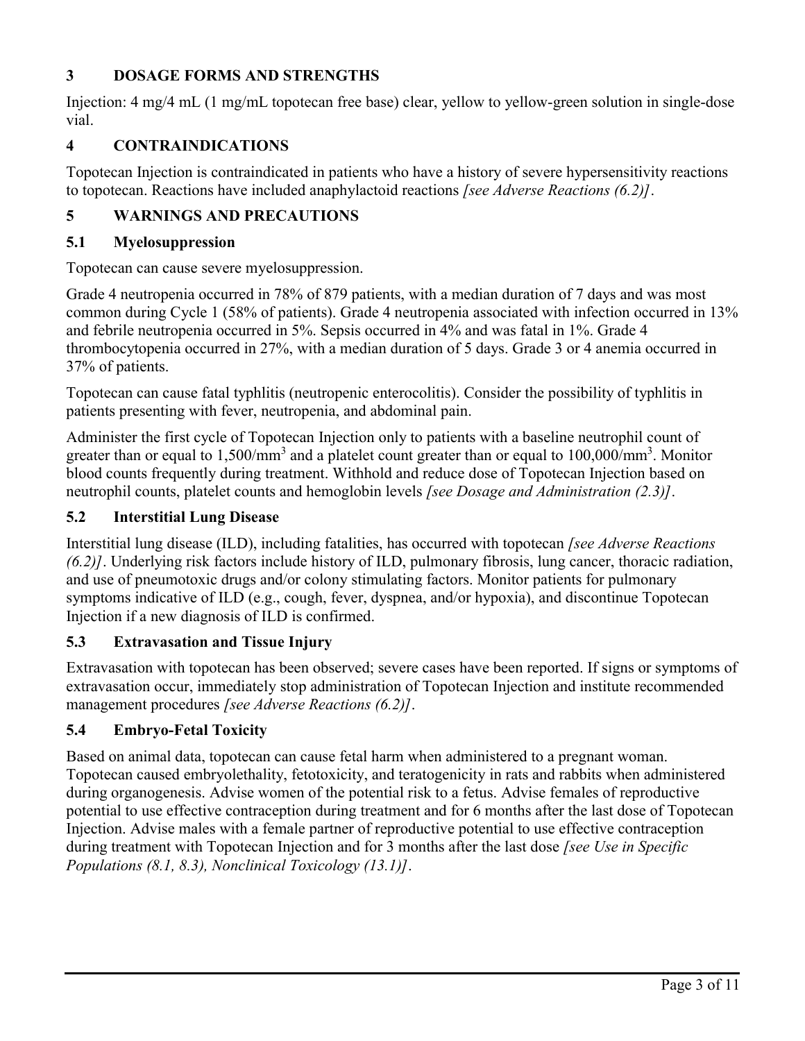# **3 DOSAGE FORMS AND STRENGTHS**

Injection: 4 mg/4 mL (1 mg/mL topotecan free base) clear, yellow to yellow-green solution in single-dose vial.

# **4 CONTRAINDICATIONS**

Topotecan Injection is contraindicated in patients who have a history of severe hypersensitivity reactions to topotecan. Reactions have included anaphylactoid reactions *[see Adverse Reactions (6.2)]*.

# **5 WARNINGS AND PRECAUTIONS**

# **5.1 Myelosuppression**

Topotecan can cause severe myelosuppression.

Grade 4 neutropenia occurred in 78% of 879 patients, with a median duration of 7 days and was most common during Cycle 1 (58% of patients). Grade 4 neutropenia associated with infection occurred in 13% and febrile neutropenia occurred in 5%. Sepsis occurred in 4% and was fatal in 1%. Grade 4 thrombocytopenia occurred in 27%, with a median duration of 5 days. Grade 3 or 4 anemia occurred in 37% of patients.

Topotecan can cause fatal typhlitis (neutropenic enterocolitis). Consider the possibility of typhlitis in patients presenting with fever, neutropenia, and abdominal pain.

Administer the first cycle of Topotecan Injection only to patients with a baseline neutrophil count of greater than or equal to  $1,500/\text{mm}^3$  and a platelet count greater than or equal to  $100,000/\text{mm}^3$ . Monitor blood counts frequently during treatment. Withhold and reduce dose of Topotecan Injection based on neutrophil counts, platelet counts and hemoglobin levels *[see Dosage and Administration (2.3)]*.

# **5.2 Interstitial Lung Disease**

Interstitial lung disease (ILD), including fatalities, has occurred with topotecan *[see Adverse Reactions (6.2)]*. Underlying risk factors include history of ILD, pulmonary fibrosis, lung cancer, thoracic radiation, and use of pneumotoxic drugs and/or colony stimulating factors. Monitor patients for pulmonary symptoms indicative of ILD (e.g., cough, fever, dyspnea, and/or hypoxia), and discontinue Topotecan Injection if a new diagnosis of ILD is confirmed.

# **5.3 Extravasation and Tissue Injury**

Extravasation with topotecan has been observed; severe cases have been reported. If signs or symptoms of extravasation occur, immediately stop administration of Topotecan Injection and institute recommended management procedures *[see Adverse Reactions (6.2)]*.

# **5.4 Embryo-Fetal Toxicity**

Based on animal data, topotecan can cause fetal harm when administered to a pregnant woman. Topotecan caused embryolethality, fetotoxicity, and teratogenicity in rats and rabbits when administered during organogenesis. Advise women of the potential risk to a fetus. Advise females of reproductive potential to use effective contraception during treatment and for 6 months after the last dose of Topotecan Injection. Advise males with a female partner of reproductive potential to use effective contraception during treatment with Topotecan Injection and for 3 months after the last dose *[see Use in Specific Populations (8.1, 8.3), Nonclinical Toxicology (13.1)]*.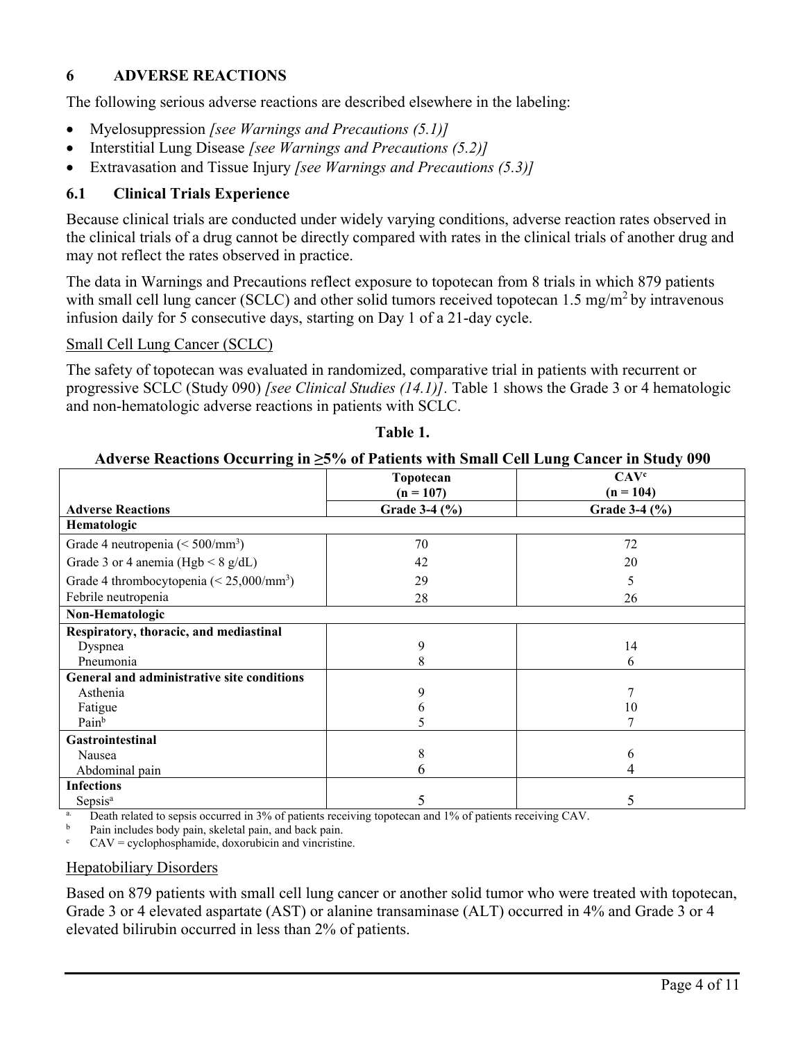# **6 ADVERSE REACTIONS**

The following serious adverse reactions are described elsewhere in the labeling:

- Myelosuppression *[see Warnings and Precautions (5.1)]*
- Interstitial Lung Disease *[see Warnings and Precautions (5.2)]*
- Extravasation and Tissue Injury *[see Warnings and Precautions (5.3)]*

# **6.1 Clinical Trials Experience**

Because clinical trials are conducted under widely varying conditions, adverse reaction rates observed in the clinical trials of a drug cannot be directly compared with rates in the clinical trials of another drug and may not reflect the rates observed in practice.

The data in Warnings and Precautions reflect exposure to topotecan from 8 trials in which 879 patients with small cell lung cancer (SCLC) and other solid tumors received topotecan  $1.5 \text{ mg/m}^2$  by intravenous infusion daily for 5 consecutive days, starting on Day 1 of a 21-day cycle.

### Small Cell Lung Cancer (SCLC)

The safety of topotecan was evaluated in randomized, comparative trial in patients with recurrent or progressive SCLC (Study 090) *[see Clinical Studies (14.1)].* Table 1 shows the Grade 3 or 4 hematologic and non-hematologic adverse reactions in patients with SCLC.

|                                                   | Topotecan     | CAV <sup>c</sup> |  |
|---------------------------------------------------|---------------|------------------|--|
|                                                   | $(n = 107)$   | $(n = 104)$      |  |
| <b>Adverse Reactions</b>                          | Grade 3-4 (%) | Grade 3-4 (%)    |  |
| Hematologic                                       |               |                  |  |
| Grade 4 neutropenia ( $\leq 500/\text{mm}^3$ )    | 70            | 72               |  |
| Grade 3 or 4 anemia (Hgb $\leq 8$ g/dL)           | 42            | 20               |  |
| Grade 4 thrombocytopenia $(< 25,000/\text{mm}^3)$ | 29            | 5                |  |
| Febrile neutropenia                               | 28            | 26               |  |
| Non-Hematologic                                   |               |                  |  |
| Respiratory, thoracic, and mediastinal            |               |                  |  |
| Dyspnea                                           | 9             | 14               |  |
| Pneumonia                                         | 8             | 6                |  |
| General and administrative site conditions        |               |                  |  |
| Asthenia                                          | 9             |                  |  |
| Fatigue                                           | n             | 10               |  |
| Painb                                             |               |                  |  |
| <b>Gastrointestinal</b>                           |               |                  |  |
| Nausea                                            | 8             | 6                |  |
| Abdominal pain                                    | h             | 4                |  |
| <b>Infections</b>                                 |               |                  |  |
| Sepsis <sup>a</sup>                               | 5             | 5                |  |

## **Table 1.**

# **Adverse Reactions Occurring in ≥5% of Patients with Small Cell Lung Cancer in Study 090**

<sup>a.</sup> Death related to sepsis occurred in 3% of patients receiving topotecan and 1% of patients receiving CAV.

Pain includes body pain, skeletal pain, and back pain.

 $CAV = cyclophosphamide, doxorubicin and vincristine.$ 

### Hepatobiliary Disorders

Based on 879 patients with small cell lung cancer or another solid tumor who were treated with topotecan, Grade 3 or 4 elevated aspartate (AST) or alanine transaminase (ALT) occurred in 4% and Grade 3 or 4 elevated bilirubin occurred in less than 2% of patients.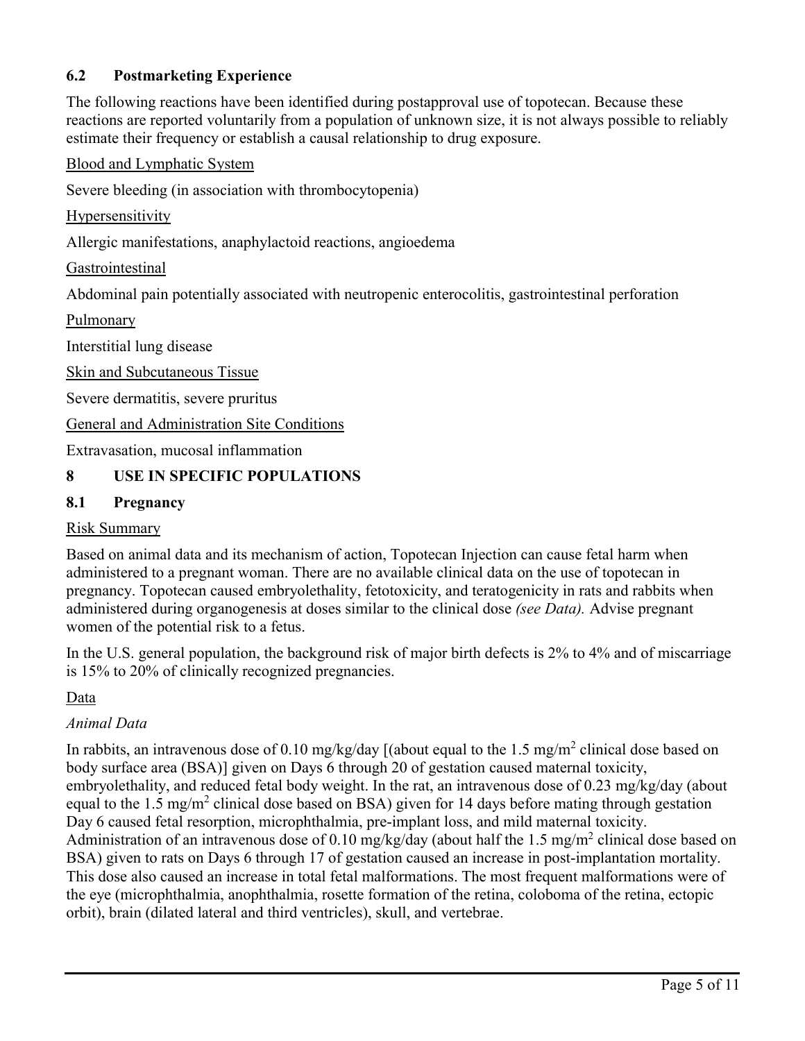# **6.2 Postmarketing Experience**

The following reactions have been identified during postapproval use of topotecan. Because these reactions are reported voluntarily from a population of unknown size, it is not always possible to reliably estimate their frequency or establish a causal relationship to drug exposure.

Blood and Lymphatic System

Severe bleeding (in association with thrombocytopenia)

Hypersensitivity

Allergic manifestations, anaphylactoid reactions, angioedema

**Gastrointestinal** 

Abdominal pain potentially associated with neutropenic enterocolitis, gastrointestinal perforation

Pulmonary

Interstitial lung disease

Skin and Subcutaneous Tissue

Severe dermatitis, severe pruritus

General and Administration Site Conditions

Extravasation, mucosal inflammation

# **8 USE IN SPECIFIC POPULATIONS**

# **8.1 Pregnancy**

## Risk Summary

Based on animal data and its mechanism of action, Topotecan Injection can cause fetal harm when administered to a pregnant woman. There are no available clinical data on the use of topotecan in pregnancy. Topotecan caused embryolethality, fetotoxicity, and teratogenicity in rats and rabbits when administered during organogenesis at doses similar to the clinical dose *(see Data).* Advise pregnant women of the potential risk to a fetus.

In the U.S. general population, the background risk of major birth defects is 2% to 4% and of miscarriage is 15% to 20% of clinically recognized pregnancies.

Data

# *Animal Data*

In rabbits, an intravenous dose of 0.10 mg/kg/day [(about equal to the 1.5 mg/m<sup>2</sup> clinical dose based on body surface area (BSA)] given on Days 6 through 20 of gestation caused maternal toxicity, embryolethality, and reduced fetal body weight. In the rat, an intravenous dose of 0.23 mg/kg/day (about equal to the 1.5 mg/m<sup>2</sup> clinical dose based on BSA) given for 14 days before mating through gestation Day 6 caused fetal resorption, microphthalmia, pre-implant loss, and mild maternal toxicity. Administration of an intravenous dose of 0.10 mg/kg/day (about half the 1.5 mg/m<sup>2</sup> clinical dose based on BSA) given to rats on Days 6 through 17 of gestation caused an increase in post-implantation mortality. This dose also caused an increase in total fetal malformations. The most frequent malformations were of the eye (microphthalmia, anophthalmia, rosette formation of the retina, coloboma of the retina, ectopic orbit), brain (dilated lateral and third ventricles), skull, and vertebrae.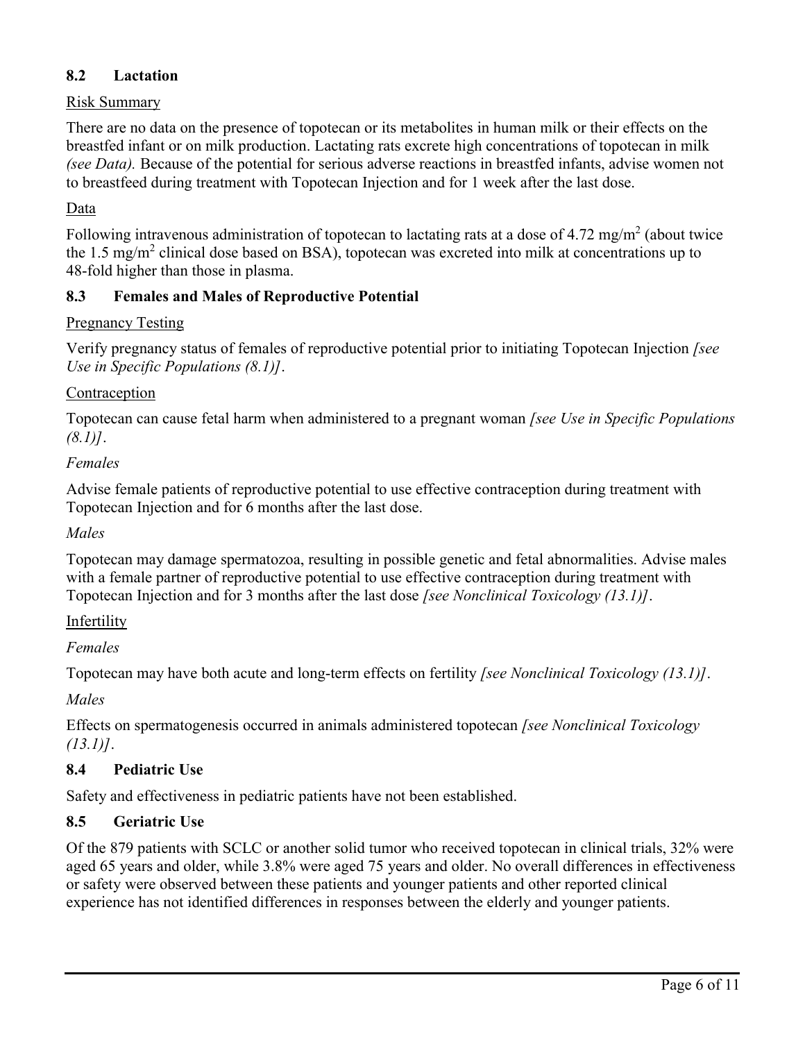# **8.2 Lactation**

# Risk Summary

There are no data on the presence of topotecan or its metabolites in human milk or their effects on the breastfed infant or on milk production. Lactating rats excrete high concentrations of topotecan in milk *(see Data).* Because of the potential for serious adverse reactions in breastfed infants, advise women not to breastfeed during treatment with Topotecan Injection and for 1 week after the last dose.

## Data

Following intravenous administration of topotecan to lactating rats at a dose of 4.72 mg/m<sup>2</sup> (about twice the 1.5 mg/m<sup>2</sup> clinical dose based on BSA), topotecan was excreted into milk at concentrations up to 48-fold higher than those in plasma.

## **8.3 Females and Males of Reproductive Potential**

### Pregnancy Testing

Verify pregnancy status of females of reproductive potential prior to initiating Topotecan Injection *[see Use in Specific Populations (8.1)]*.

### **Contraception**

Topotecan can cause fetal harm when administered to a pregnant woman *[see Use in Specific Populations (8.1)]*.

### *Females*

Advise female patients of reproductive potential to use effective contraception during treatment with Topotecan Injection and for 6 months after the last dose.

### *Males*

Topotecan may damage spermatozoa, resulting in possible genetic and fetal abnormalities. Advise males with a female partner of reproductive potential to use effective contraception during treatment with Topotecan Injection and for 3 months after the last dose *[see Nonclinical Toxicology (13.1)]*.

### Infertility

*Females*

Topotecan may have both acute and long-term effects on fertility *[see Nonclinical Toxicology (13.1)]*.

*Males*

Effects on spermatogenesis occurred in animals administered topotecan *[see Nonclinical Toxicology (13.1)]*.

# **8.4 Pediatric Use**

Safety and effectiveness in pediatric patients have not been established.

# **8.5 Geriatric Use**

Of the 879 patients with SCLC or another solid tumor who received topotecan in clinical trials, 32% were aged 65 years and older, while 3.8% were aged 75 years and older. No overall differences in effectiveness or safety were observed between these patients and younger patients and other reported clinical experience has not identified differences in responses between the elderly and younger patients.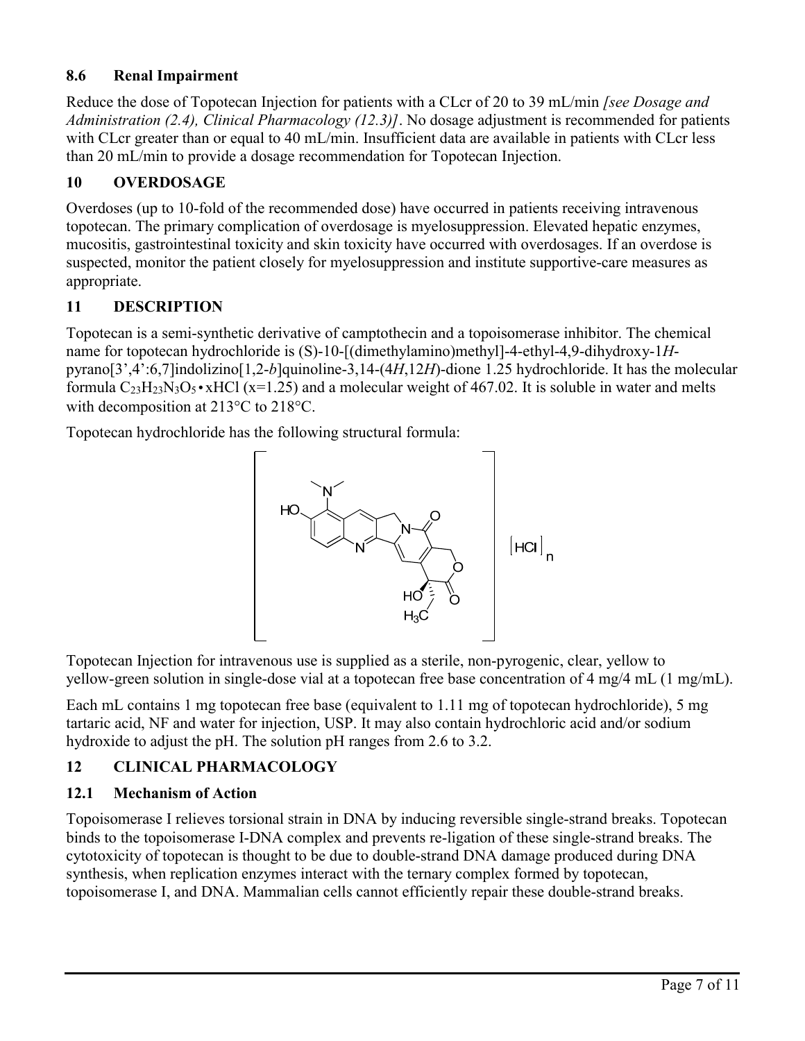# **8.6 Renal Impairment**

Reduce the dose of Topotecan Injection for patients with a CLcr of 20 to 39 mL/min *[see Dosage and Administration (2.4), Clinical Pharmacology (12.3)]*. No dosage adjustment is recommended for patients with CLcr greater than or equal to 40 mL/min. Insufficient data are available in patients with CLcr less than 20 mL/min to provide a dosage recommendation for Topotecan Injection.

# **10 OVERDOSAGE**

Overdoses (up to 10-fold of the recommended dose) have occurred in patients receiving intravenous topotecan. The primary complication of overdosage is myelosuppression. Elevated hepatic enzymes, mucositis, gastrointestinal toxicity and skin toxicity have occurred with overdosages. If an overdose is suspected, monitor the patient closely for myelosuppression and institute supportive-care measures as appropriate.

# **11 DESCRIPTION**

Topotecan is a semi-synthetic derivative of camptothecin and a topoisomerase inhibitor. The chemical name for topotecan hydrochloride is (S)-10-[(dimethylamino)methyl]-4-ethyl-4,9-dihydroxy-1*H*pyrano[3',4':6,7]indolizino[1,2-*b*]quinoline-3,14-(4*H*,12*H*)-dione 1.25 hydrochloride. It has the molecular formula  $C_{23}H_{23}N_3O_5 \cdot xHCl$  (x=1.25) and a molecular weight of 467.02. It is soluble in water and melts with decomposition at 213°C to 218°C.

Topotecan hydrochloride has the following structural formula:



Topotecan Injection for intravenous use is supplied as a sterile, non-pyrogenic, clear, yellow to yellow-green solution in single-dose vial at a topotecan free base concentration of 4 mg/4 mL (1 mg/mL).

Each mL contains 1 mg topotecan free base (equivalent to 1.11 mg of topotecan hydrochloride), 5 mg tartaric acid, NF and water for injection, USP. It may also contain hydrochloric acid and/or sodium hydroxide to adjust the pH. The solution pH ranges from 2.6 to 3.2.

# **12 CLINICAL PHARMACOLOGY**

# **12.1 Mechanism of Action**

Topoisomerase I relieves torsional strain in DNA by inducing reversible single-strand breaks. Topotecan binds to the topoisomerase I-DNA complex and prevents re-ligation of these single-strand breaks. The cytotoxicity of topotecan is thought to be due to double-strand DNA damage produced during DNA synthesis, when replication enzymes interact with the ternary complex formed by topotecan, topoisomerase I, and DNA. Mammalian cells cannot efficiently repair these double-strand breaks.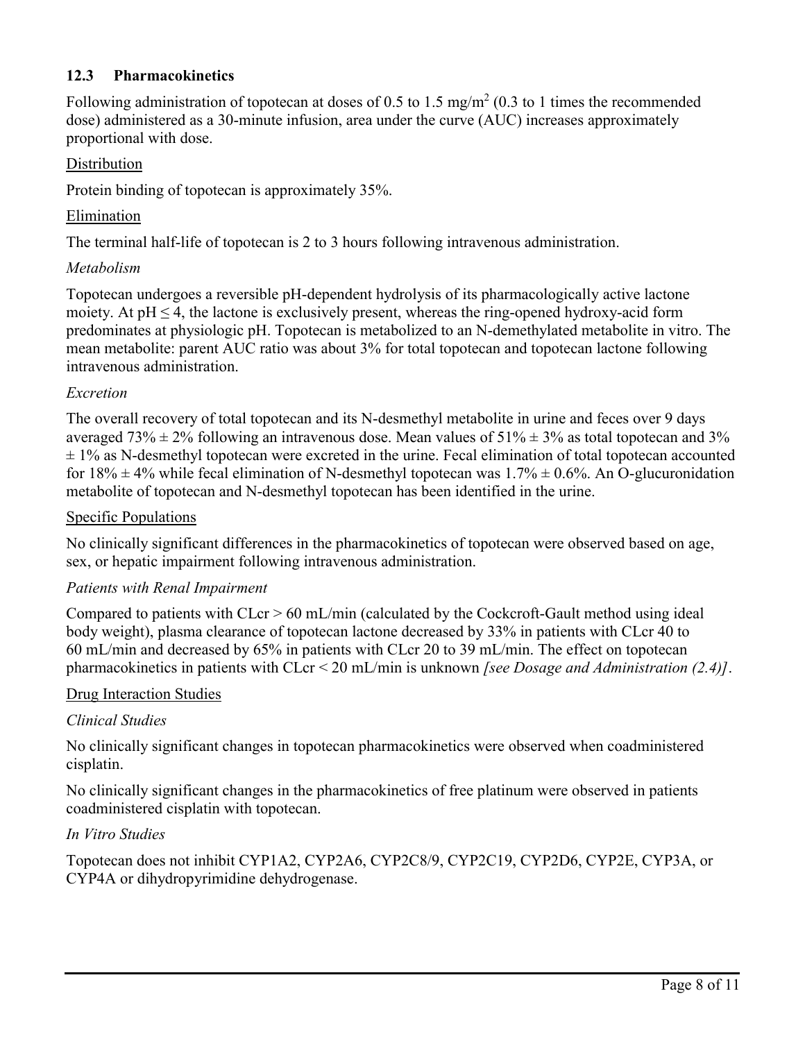# **12.3 Pharmacokinetics**

Following administration of topotecan at doses of 0.5 to 1.5 mg/m<sup>2</sup> (0.3 to 1 times the recommended dose) administered as a 30-minute infusion, area under the curve (AUC) increases approximately proportional with dose.

## Distribution

Protein binding of topotecan is approximately 35%.

## Elimination

The terminal half-life of topotecan is 2 to 3 hours following intravenous administration.

## *Metabolism*

Topotecan undergoes a reversible pH-dependent hydrolysis of its pharmacologically active lactone moiety. At  $pH \leq 4$ , the lactone is exclusively present, whereas the ring-opened hydroxy-acid form predominates at physiologic pH. Topotecan is metabolized to an N-demethylated metabolite in vitro. The mean metabolite: parent AUC ratio was about 3% for total topotecan and topotecan lactone following intravenous administration.

## *Excretion*

The overall recovery of total topotecan and its N-desmethyl metabolite in urine and feces over 9 days averaged 73%  $\pm$  2% following an intravenous dose. Mean values of 51%  $\pm$  3% as total topotecan and 3%  $\pm$  1% as N-desmethyl topotecan were excreted in the urine. Fecal elimination of total topotecan accounted for  $18\% \pm 4\%$  while fecal elimination of N-desmethyl topotecan was  $1.7\% \pm 0.6\%$ . An O-glucuronidation metabolite of topotecan and N-desmethyl topotecan has been identified in the urine.

## Specific Populations

No clinically significant differences in the pharmacokinetics of topotecan were observed based on age, sex, or hepatic impairment following intravenous administration.

### *Patients with Renal Impairment*

Compared to patients with CLcr > 60 mL/min (calculated by the Cockcroft-Gault method using ideal body weight), plasma clearance of topotecan lactone decreased by 33% in patients with CLcr 40 to 60 mL/min and decreased by 65% in patients with CLcr 20 to 39 mL/min. The effect on topotecan pharmacokinetics in patients with CLcr < 20 mL/min is unknown *[see Dosage and Administration (2.4)]*.

### Drug Interaction Studies

# *Clinical Studies*

No clinically significant changes in topotecan pharmacokinetics were observed when coadministered cisplatin.

No clinically significant changes in the pharmacokinetics of free platinum were observed in patients coadministered cisplatin with topotecan.

### *In Vitro Studies*

Topotecan does not inhibit CYP1A2, CYP2A6, CYP2C8/9, CYP2C19, CYP2D6, CYP2E, CYP3A, or CYP4A or dihydropyrimidine dehydrogenase.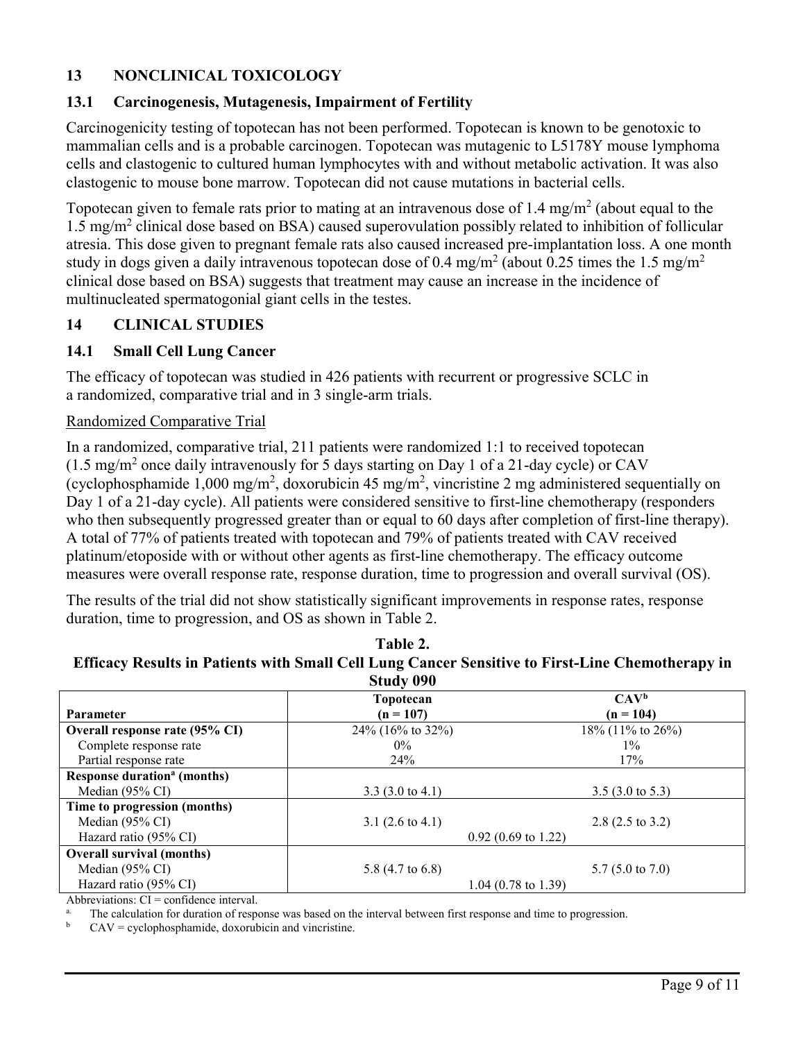# **13 NONCLINICAL TOXICOLOGY**

# **13.1 Carcinogenesis, Mutagenesis, Impairment of Fertility**

Carcinogenicity testing of topotecan has not been performed. Topotecan is known to be genotoxic to mammalian cells and is a probable carcinogen. Topotecan was mutagenic to L5178Y mouse lymphoma cells and clastogenic to cultured human lymphocytes with and without metabolic activation. It was also clastogenic to mouse bone marrow. Topotecan did not cause mutations in bacterial cells.

Topotecan given to female rats prior to mating at an intravenous dose of 1.4 mg/m<sup>2</sup> (about equal to the 1.5 mg/m<sup>2</sup> clinical dose based on BSA) caused superovulation possibly related to inhibition of follicular atresia. This dose given to pregnant female rats also caused increased pre-implantation loss. A one month study in dogs given a daily intravenous topotecan dose of 0.4 mg/m<sup>2</sup> (about 0.25 times the 1.5 mg/m<sup>2</sup> clinical dose based on BSA) suggests that treatment may cause an increase in the incidence of multinucleated spermatogonial giant cells in the testes.

## **14 CLINICAL STUDIES**

## **14.1 Small Cell Lung Cancer**

The efficacy of topotecan was studied in 426 patients with recurrent or progressive SCLC in a randomized, comparative trial and in 3 single-arm trials.

### Randomized Comparative Trial

In a randomized, comparative trial, 211 patients were randomized 1:1 to received topotecan  $(1.5 \text{ mg/m}^2)$  once daily intravenously for 5 days starting on Day 1 of a 21-day cycle) or CAV (cyclophosphamide 1,000 mg/m<sup>2</sup>, doxorubicin 45 mg/m<sup>2</sup>, vincristine 2 mg administered sequentially on Day 1 of a 21-day cycle). All patients were considered sensitive to first-line chemotherapy (responders who then subsequently progressed greater than or equal to 60 days after completion of first-line therapy). A total of 77% of patients treated with topotecan and 79% of patients treated with CAV received platinum/etoposide with or without other agents as first-line chemotherapy. The efficacy outcome measures were overall response rate, response duration, time to progression and overall survival (OS).

The results of the trial did not show statistically significant improvements in response rates, response duration, time to progression, and OS as shown in Table 2.

**Table 2. Efficacy Results in Patients with Small Cell Lung Cancer Sensitive to First-Line Chemotherapy in** 

| Study 090                                     |                             |                             |  |  |  |
|-----------------------------------------------|-----------------------------|-----------------------------|--|--|--|
|                                               | Topotecan                   | $CAV^b$                     |  |  |  |
| <b>Parameter</b>                              | $(n = 107)$                 | $(n = 104)$                 |  |  |  |
| Overall response rate (95% CI)                | 24% (16% to 32%)            | 18% (11% to 26%)            |  |  |  |
| Complete response rate                        | $0\%$                       | $1\%$                       |  |  |  |
| Partial response rate                         | 24%                         | 17%                         |  |  |  |
| <b>Response duration<sup>a</sup></b> (months) |                             |                             |  |  |  |
| Median (95% CI)                               | 3.3 $(3.0 \text{ to } 4.1)$ | $3.5(3.0 \text{ to } 5.3)$  |  |  |  |
| Time to progression (months)                  |                             |                             |  |  |  |
| Median (95% CI)                               | 3.1 $(2.6 \text{ to } 4.1)$ | $2.8(2.5 \text{ to } 3.2)$  |  |  |  |
| Hazard ratio (95% CI)                         | $0.92$ (0.69 to 1.22)       |                             |  |  |  |
| <b>Overall survival (months)</b>              |                             |                             |  |  |  |
| Median (95% CI)                               | 5.8 $(4.7 \text{ to } 6.8)$ | 5.7 $(5.0 \text{ to } 7.0)$ |  |  |  |
| Hazard ratio (95% CI)                         | $1.04$ (0.78 to 1.39)       |                             |  |  |  |

Abbreviations:  $CI =$  confidence interval.

The calculation for duration of response was based on the interval between first response and time to progression.

 $CAV =$  cyclophosphamide, doxorubicin and vincristine.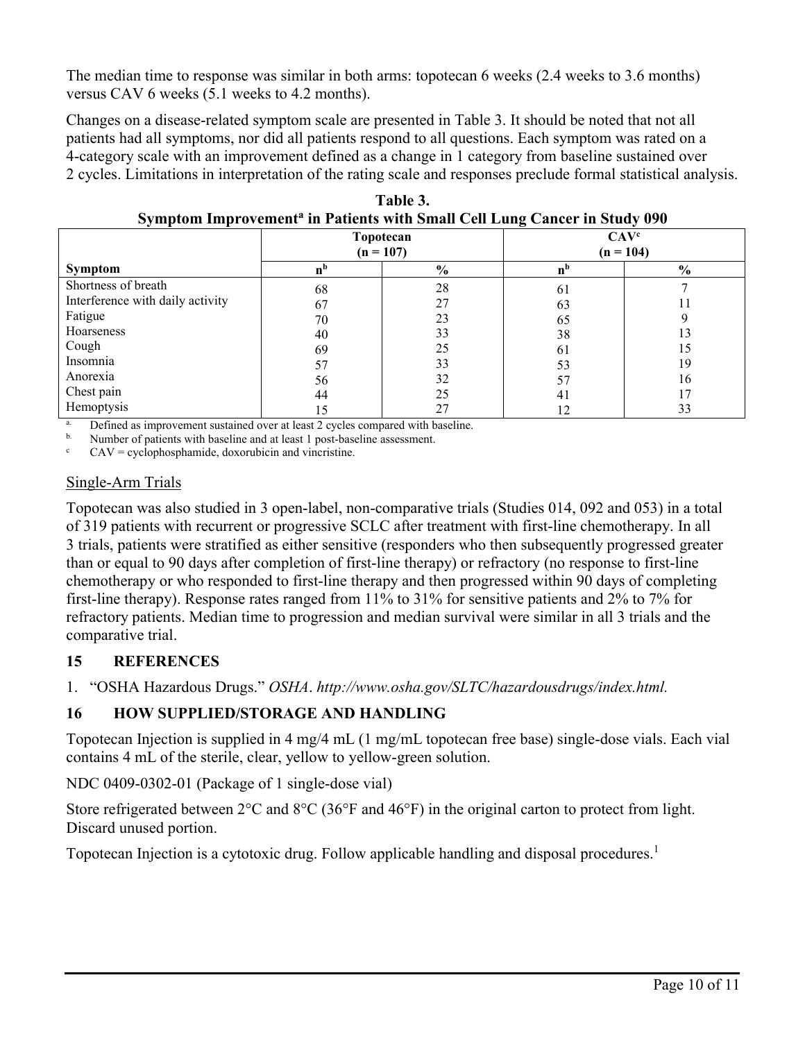The median time to response was similar in both arms: topotecan 6 weeks (2.4 weeks to 3.6 months) versus CAV 6 weeks (5.1 weeks to 4.2 months).

Changes on a disease-related symptom scale are presented in Table 3. It should be noted that not all patients had all symptoms, nor did all patients respond to all questions. Each symptom was rated on a 4-category scale with an improvement defined as a change in 1 category from baseline sustained over 2 cycles. Limitations in interpretation of the rating scale and responses preclude formal statistical analysis.

| $\sim$ , in promoting content the material with single can gained in state, $\sim$ |                          |               |                                 |               |  |  |  |
|------------------------------------------------------------------------------------|--------------------------|---------------|---------------------------------|---------------|--|--|--|
|                                                                                    | Topotecan<br>$(n = 107)$ |               | CAV <sup>c</sup><br>$(n = 104)$ |               |  |  |  |
| Symptom                                                                            | n <sub>p</sub>           | $\frac{6}{6}$ | n'                              | $\frac{6}{6}$ |  |  |  |
| Shortness of breath                                                                | 68                       | 28            | 61                              |               |  |  |  |
| Interference with daily activity                                                   | 67                       | 27            | 63                              | 11            |  |  |  |
| Fatigue                                                                            | 70                       | 23            | 65                              |               |  |  |  |
| Hoarseness                                                                         | 40                       | 33            | 38                              | 13            |  |  |  |
| Cough                                                                              | 69                       | 25            | 61                              | 15            |  |  |  |
| Insomnia                                                                           | 57                       | 33            | 53                              | 19            |  |  |  |
| Anorexia                                                                           | 56                       | 32            |                                 | 16            |  |  |  |
| Chest pain                                                                         | 44                       | 25            | 41                              | 17            |  |  |  |
| Hemoptysis                                                                         | 15                       | 27            |                                 | 33            |  |  |  |

**Table 3. Symptom Improvement<sup>a</sup> in Patients with Small Cell Lung Cancer in Study 090**

Defined as improvement sustained over at least 2 cycles compared with baseline.

b. Number of patients with baseline and at least 1 post-baseline assessment.

 $CAV = cyclophosphamide$ , doxorubicin and vincristine.

### Single-Arm Trials

Topotecan was also studied in 3 open-label, non-comparative trials (Studies 014, 092 and 053) in a total of 319 patients with recurrent or progressive SCLC after treatment with first-line chemotherapy. In all 3 trials, patients were stratified as either sensitive (responders who then subsequently progressed greater than or equal to 90 days after completion of first-line therapy) or refractory (no response to first-line chemotherapy or who responded to first-line therapy and then progressed within 90 days of completing first-line therapy). Response rates ranged from 11% to 31% for sensitive patients and 2% to 7% for refractory patients. Median time to progression and median survival were similar in all 3 trials and the comparative trial.

# **15 REFERENCES**

1. "OSHA Hazardous Drugs." *OSHA*. *http://www.osha.gov/SLTC/hazardousdrugs/index.html.*

# **16 HOW SUPPLIED/STORAGE AND HANDLING**

Topotecan Injection is supplied in 4 mg/4 mL (1 mg/mL topotecan free base) single-dose vials. Each vial contains 4 mL of the sterile, clear, yellow to yellow-green solution.

NDC 0409-0302-01 (Package of 1 single-dose vial)

Store refrigerated between 2°C and 8°C (36°F and 46°F) in the original carton to protect from light. Discard unused portion.

Topotecan Injection is a cytotoxic drug. Follow applicable handling and disposal procedures.<sup>1</sup>